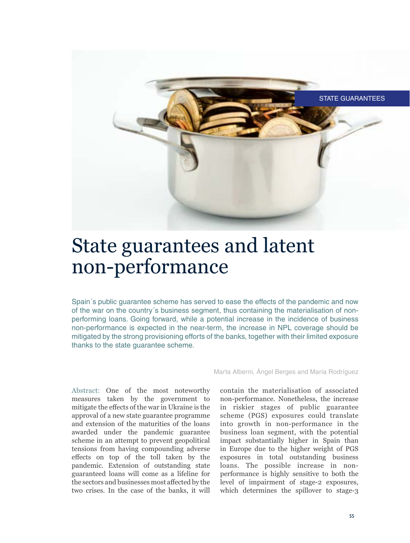

# State guarantees and latent non-performance

Spain´s public guarantee scheme has served to ease the effects of the pandemic and now of the war on the country´s business segment, thus containing the materialisation of nonperforming loans. Going forward, while a potential increase in the incidence of business non-performance is expected in the near-term, the increase in NPL coverage should be mitigated by the strong provisioning efforts of the banks, together with their limited exposure thanks to the state guarantee scheme.

Abstract: One of the most noteworthy measures taken by the government to mitigate the effects of the war in Ukraine is the approval of a new state guarantee programme and extension of the maturities of the loans awarded under the pandemic guarantee scheme in an attempt to prevent geopolitical tensions from having compounding adverse effects on top of the toll taken by the pandemic. Extension of outstanding state guaranteed loans will come as a lifeline for the sectors and businesses most affected by the two crises. In the case of the banks, it will

Marta Alberni, Ángel Berges and María Rodríguez

contain the materialisation of associated non-performance. Nonetheless, the increase in riskier stages of public guarantee scheme (PGS) exposures could translate into growth in non-performance in the business loan segment, with the potential impact substantially higher in Spain than in Europe due to the higher weight of PGS exposures in total outstanding business loans. The possible increase in nonperformance is highly sensitive to both the level of impairment of stage-2 exposures, which determines the spillover to stage-3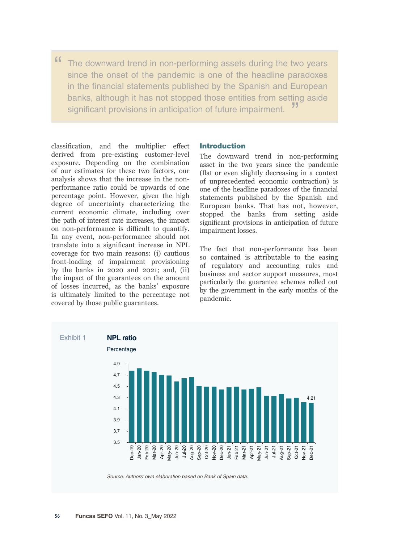" The downward trend in non-performing assets during the two years since the onset of the pandemic is one of the headline paradoxes in the financial statements published by the Spanish and European banks, although it has not stopped those entities from setting aside significant provisions in anticipation of future impairment.

classification, and the multiplier effect derived from pre-existing customer-level exposure. Depending on the combination of our estimates for these two factors, our analysis shows that the increase in the nonperformance ratio could be upwards of one percentage point. However, given the high degree of uncertainty characterizing the current economic climate, including over the path of interest rate increases, the impact on non-performance is difficult to quantify. In any event, non-performance should not translate into a significant increase in NPL coverage for two main reasons: (i) cautious front-loading of impairment provisioning by the banks in 2020 and 2021; and, (ii) the impact of the guarantees on the amount of losses incurred, as the banks' exposure is ultimately limited to the percentage not covered by those public guarantees.

## Introduction

The downward trend in non-performing asset in the two years since the pandemic (flat or even slightly decreasing in a context of unprecedented economic contraction) is one of the headline paradoxes of the financial statements published by the Spanish and European banks. That has not, however, stopped the banks from setting aside significant provisions in anticipation of future impairment losses.

The fact that non-performance has been so contained is attributable to the easing of regulatory and accounting rules and business and sector support measures, most particularly the guarantee schemes rolled out by the government in the early months of the pandemic.

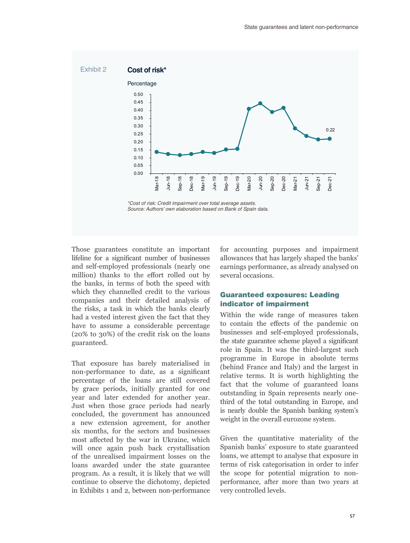

Those guarantees constitute an important lifeline for a significant number of businesses and self-employed professionals (nearly one million) thanks to the effort rolled out by the banks, in terms of both the speed with which they channelled credit to the various companies and their detailed analysis of the risks, a task in which the banks clearly had a vested interest given the fact that they have to assume a considerable percentage (20% to 30%) of the credit risk on the loans guaranteed.

That exposure has barely materialised in non-performance to date, as a significant percentage of the loans are still covered by grace periods, initially granted for one year and later extended for another year. Just when those grace periods had nearly concluded, the government has announced a new extension agreement, for another six months, for the sectors and businesses most affected by the war in Ukraine, which will once again push back crystallisation of the unrealised impairment losses on the loans awarded under the state guarantee program. As a result, it is likely that we will continue to observe the dichotomy, depicted in Exhibits 1 and 2, between non-performance for accounting purposes and impairment allowances that has largely shaped the banks' earnings performance, as already analysed on several occasions.

## Guaranteed exposures: Leading indicator of impairment

Within the wide range of measures taken to contain the effects of the pandemic on businesses and self-employed professionals, the state guarantee scheme played a significant role in Spain. It was the third-largest such programme in Europe in absolute terms (behind France and Italy) and the largest in relative terms. It is worth highlighting the fact that the volume of guaranteed loans outstanding in Spain represents nearly onethird of the total outstanding in Europe, and is nearly double the Spanish banking system's weight in the overall eurozone system.

Given the quantitative materiality of the Spanish banks' exposure to state guaranteed loans, we attempt to analyse that exposure in terms of risk categorisation in order to infer the scope for potential migration to nonperformance, after more than two years at very controlled levels.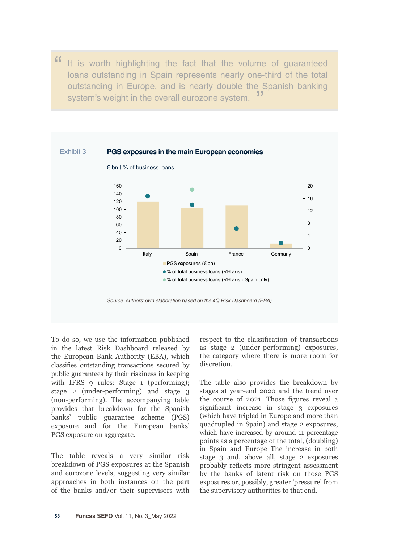" It is worth highlighting the fact that the volume of guaranteed loans outstanding in Spain represents nearly one-third of the total outstanding in Europe, and is nearly double the Spanish banking system's weight in the overall eurozone system.



To do so, we use the information published in the latest Risk Dashboard released by the European Bank Authority (EBA), which classifies outstanding transactions secured by public guarantees by their riskiness in keeping with IFRS 9 rules: Stage 1 (performing); stage 2 (under-performing) and stage 3 (non-performing). The accompanying table provides that breakdown for the Spanish banks' public guarantee scheme (PGS) exposure and for the European banks' PGS exposure on aggregate.

The table reveals a very similar risk breakdown of PGS exposures at the Spanish and eurozone levels, suggesting very similar approaches in both instances on the part of the banks and/or their supervisors with respect to the classification of transactions as stage 2 (under-performing) exposures, the category where there is more room for discretion.

The table also provides the breakdown by stages at year-end 2020 and the trend over the course of 2021. Those figures reveal a significant increase in stage 3 exposures (which have tripled in Europe and more than quadrupled in Spain) and stage 2 exposures, which have increased by around 11 percentage points as a percentage of the total, (doubling) in Spain and Europe The increase in both stage 3 and, above all, stage 2 exposures probably reflects more stringent assessment by the banks of latent risk on those PGS exposures or, possibly, greater 'pressure' from the supervisory authorities to that end.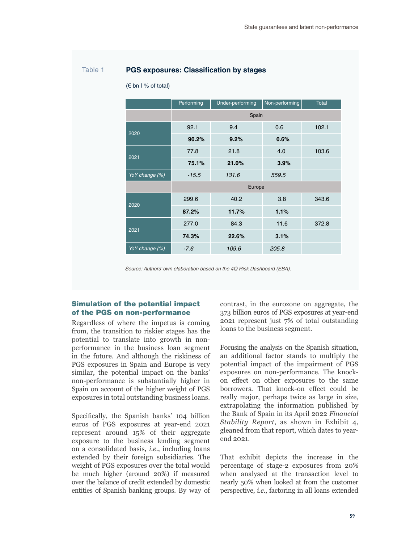## Table 1 **PGS exposures: Classification by stages**

|                | Performing | Under-performing | Non-performing | <b>Total</b> |
|----------------|------------|------------------|----------------|--------------|
|                | Spain      |                  |                |              |
| 2020           | 92.1       | 9.4              | 0.6            | 102.1        |
|                | 90.2%      | 9.2%             | 0.6%           |              |
| 2021           | 77.8       | 21.8             | 4.0            | 103.6        |
|                | 75.1%      | 21.0%            | 3.9%           |              |
| YoY change (%) | $-15.5$    | 131.6            | 559.5          |              |
|                | Europe     |                  |                |              |
| 2020           | 299.6      | 40.2             | 3.8            | 343.6        |
|                | 87.2%      | 11.7%            | 1.1%           |              |
| 2021           | 277.0      | 84.3             | 11.6           | 372.8        |
|                | 74.3%      | 22.6%            | 3.1%           |              |
| YoY change (%) | $-7.6$     | 109.6            | 205.8          |              |

(€ bn | % of total)

*Source: Authors' own elaboration based on the 4Q Risk Dashboard (EBA).*

## Simulation of the potential impact of the PGS on non-performance

Regardless of where the impetus is coming from, the transition to riskier stages has the potential to translate into growth in nonperformance in the business loan segment in the future. And although the riskiness of PGS exposures in Spain and Europe is very similar, the potential impact on the banks' non-performance is substantially higher in Spain on account of the higher weight of PGS exposures in total outstanding business loans.

Specifically, the Spanish banks' 104 billion euros of PGS exposures at year-end 2021 represent around 15% of their aggregate exposure to the business lending segment on a consolidated basis, *i.e*., including loans extended by their foreign subsidiaries. The weight of PGS exposures over the total would be much higher (around 20%) if measured over the balance of credit extended by domestic entities of Spanish banking groups. By way of contrast, in the eurozone on aggregate, the 373 billion euros of PGS exposures at year-end 2021 represent just 7% of total outstanding loans to the business segment.

Focusing the analysis on the Spanish situation, an additional factor stands to multiply the potential impact of the impairment of PGS exposures on non-performance. The knockon effect on other exposures to the same borrowers. That knock-on effect could be really major, perhaps twice as large in size, extrapolating the information published by the Bank of Spain in its April 2022 *Financial Stability Report*, as shown in Exhibit 4, gleaned from that report, which dates to yearend 2021.

That exhibit depicts the increase in the percentage of stage-2 exposures from 20% when analysed at the transaction level to nearly 50% when looked at from the customer perspective, *i.e*., factoring in all loans extended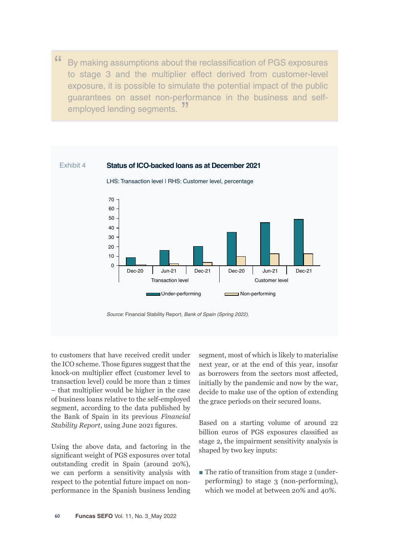" By making assumptions about the reclassification of PGS exposures to stage 3 and the multiplier effect derived from customer-level exposure, it is possible to simulate the potential impact of the public guarantees on asset non-performance in the business and self-<br> **P** employed lending segments.



to customers that have received credit under the ICO scheme. Those figures suggest that the knock-on multiplier effect (customer level to transaction level) could be more than 2 times – that multiplier would be higher in the case of business loans relative to the self-employed segment, according to the data published by the Bank of Spain in its previous *Financial Stability Report*, using June 2021 figures.

Using the above data, and factoring in the significant weight of PGS exposures over total outstanding credit in Spain (around 20%), we can perform a sensitivity analysis with respect to the potential future impact on nonperformance in the Spanish business lending segment, most of which is likely to materialise next year, or at the end of this year, insofar as borrowers from the sectors most affected, initially by the pandemic and now by the war, decide to make use of the option of extending the grace periods on their secured loans.

Based on a starting volume of around 22 billion euros of PGS exposures classified as stage 2, the impairment sensitivity analysis is shaped by two key inputs:

■ The ratio of transition from stage 2 (underperforming) to stage 3 (non-performing), which we model at between 20% and 40%.